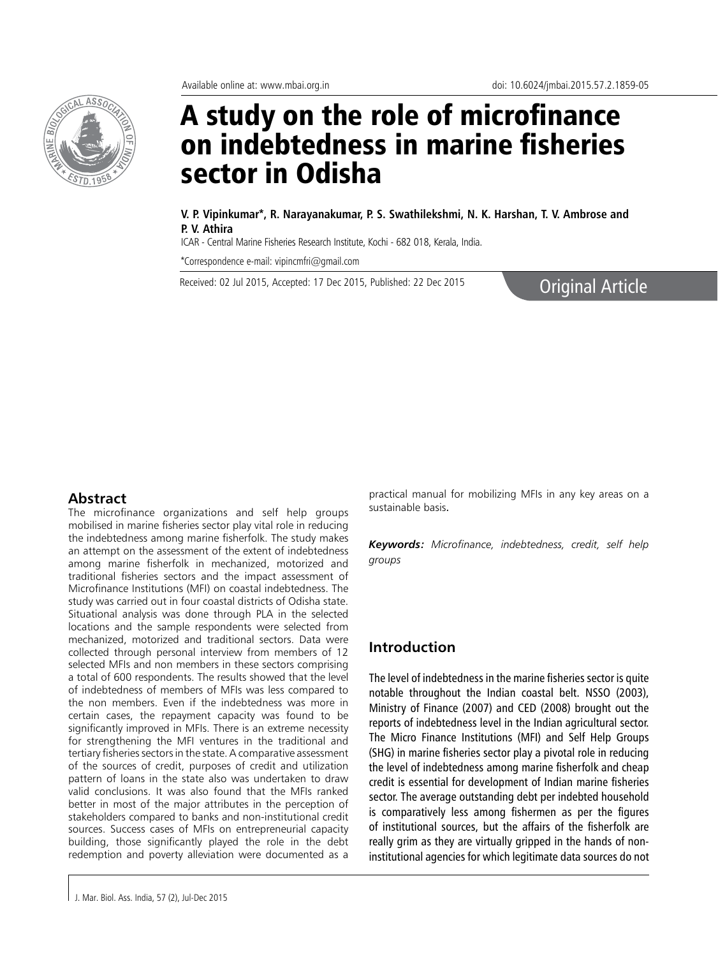

# A study on the role of microfinance on indebtedness in marine fisheries sector in Odisha

**V. P. Vipinkumar\*, R. Narayanakumar, P. S. Swathilekshmi, N. K. Harshan, T. V. Ambrose and P. V. Athira**

ICAR - Central Marine Fisheries Research Institute, Kochi - 682 018, Kerala, India.

\*Correspondence e-mail: vipincmfri@gmail.com

Received: 02 Jul 2015, Accepted: 17 Dec 2015, Published: 22 Dec 2015<br> **Original Article** 

### **Abstract**

The microfinance organizations and self help groups mobilised in marine fisheries sector play vital role in reducing the indebtedness among marine fisherfolk. The study makes an attempt on the assessment of the extent of indebtedness among marine fisherfolk in mechanized, motorized and traditional fisheries sectors and the impact assessment of Microfinance Institutions (MFI) on coastal indebtedness. The study was carried out in four coastal districts of Odisha state. Situational analysis was done through PLA in the selected locations and the sample respondents were selected from mechanized, motorized and traditional sectors. Data were collected through personal interview from members of 12 selected MFIs and non members in these sectors comprising a total of 600 respondents. The results showed that the level of indebtedness of members of MFIs was less compared to the non members. Even if the indebtedness was more in certain cases, the repayment capacity was found to be significantly improved in MFIs. There is an extreme necessity for strengthening the MFI ventures in the traditional and tertiary fisheries sectors in the state. A comparative assessment of the sources of credit, purposes of credit and utilization pattern of loans in the state also was undertaken to draw valid conclusions. It was also found that the MFIs ranked better in most of the major attributes in the perception of stakeholders compared to banks and non-institutional credit sources. Success cases of MFIs on entrepreneurial capacity building, those significantly played the role in the debt redemption and poverty alleviation were documented as a

J. Mar. Biol. Ass. India, 57 (2), Jul-Dec 2015

practical manual for mobilizing MFIs in any key areas on a sustainable basis.

*Keywords: Microfinance, indebtedness, credit, self help groups*

## **Introduction**

The level of indebtedness in the marine fisheries sector is quite notable throughout the Indian coastal belt. NSSO (2003), Ministry of Finance (2007) and CED (2008) brought out the reports of indebtedness level in the Indian agricultural sector. The Micro Finance Institutions (MFI) and Self Help Groups (SHG) in marine fisheries sector play a pivotal role in reducing the level of indebtedness among marine fisherfolk and cheap credit is essential for development of Indian marine fisheries sector. The average outstanding debt per indebted household is comparatively less among fishermen as per the figures of institutional sources, but the affairs of the fisherfolk are really grim as they are virtually gripped in the hands of noninstitutional agencies for which legitimate data sources do not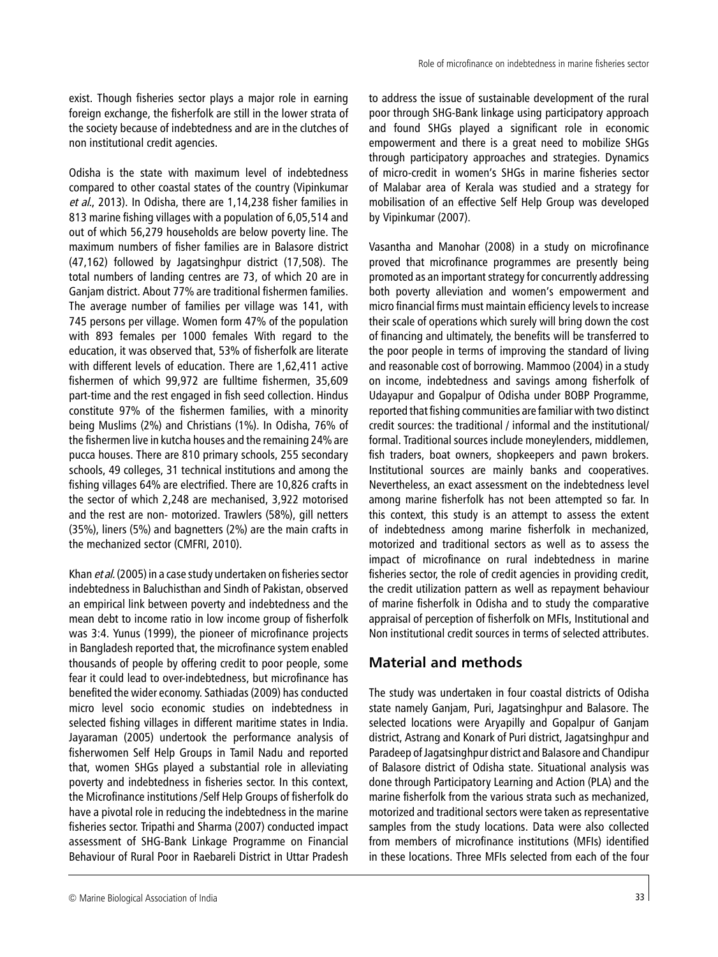Odisha is the state with maximum level of indebtedness compared to other coastal states of the country (Vipinkumar et al., 2013). In Odisha, there are 1,14,238 fisher families in 813 marine fishing villages with a population of 6,05,514 and out of which 56,279 households are below poverty line. The maximum numbers of fisher families are in Balasore district (47,162) followed by Jagatsinghpur district (17,508). The total numbers of landing centres are 73, of which 20 are in Ganjam district. About 77% are traditional fishermen families. The average number of families per village was 141, with 745 persons per village. Women form 47% of the population with 893 females per 1000 females With regard to the education, it was observed that, 53% of fisherfolk are literate with different levels of education. There are 1,62,411 active fishermen of which 99,972 are fulltime fishermen, 35,609 part-time and the rest engaged in fish seed collection. Hindus constitute 97% of the fishermen families, with a minority being Muslims (2%) and Christians (1%). In Odisha, 76% of the fishermen live in kutcha houses and the remaining 24% are pucca houses. There are 810 primary schools, 255 secondary schools, 49 colleges, 31 technical institutions and among the fishing villages 64% are electrified. There are 10,826 crafts in the sector of which 2,248 are mechanised, 3,922 motorised and the rest are non- motorized. Trawlers (58%), gill netters (35%), liners (5%) and bagnetters (2%) are the main crafts in the mechanized sector (CMFRI, 2010).

Khan et al. (2005) in a case study undertaken on fisheries sector indebtedness in Baluchisthan and Sindh of Pakistan, observed an empirical link between poverty and indebtedness and the mean debt to income ratio in low income group of fisherfolk was 3:4. Yunus (1999), the pioneer of microfinance projects in Bangladesh reported that, the microfinance system enabled thousands of people by offering credit to poor people, some fear it could lead to over-indebtedness, but microfinance has benefited the wider economy. Sathiadas (2009) has conducted micro level socio economic studies on indebtedness in selected fishing villages in different maritime states in India. Jayaraman (2005) undertook the performance analysis of fisherwomen Self Help Groups in Tamil Nadu and reported that, women SHGs played a substantial role in alleviating poverty and indebtedness in fisheries sector. In this context, the Microfinance institutions /Self Help Groups of fisherfolk do have a pivotal role in reducing the indebtedness in the marine fisheries sector. Tripathi and Sharma (2007) conducted impact assessment of SHG-Bank Linkage Programme on Financial Behaviour of Rural Poor in Raebareli District in Uttar Pradesh to address the issue of sustainable development of the rural poor through SHG-Bank linkage using participatory approach and found SHGs played a significant role in economic empowerment and there is a great need to mobilize SHGs through participatory approaches and strategies. Dynamics of micro-credit in women's SHGs in marine fisheries sector of Malabar area of Kerala was studied and a strategy for mobilisation of an effective Self Help Group was developed by Vipinkumar (2007).

Vasantha and Manohar (2008) in a study on microfinance proved that microfinance programmes are presently being promoted as an important strategy for concurrently addressing both poverty alleviation and women's empowerment and micro financial firms must maintain efficiency levels to increase their scale of operations which surely will bring down the cost of financing and ultimately, the benefits will be transferred to the poor people in terms of improving the standard of living and reasonable cost of borrowing. Mammoo (2004) in a study on income, indebtedness and savings among fisherfolk of Udayapur and Gopalpur of Odisha under BOBP Programme, reported that fishing communities are familiar with two distinct credit sources: the traditional / informal and the institutional/ formal. Traditional sources include moneylenders, middlemen, fish traders, boat owners, shopkeepers and pawn brokers. Institutional sources are mainly banks and cooperatives. Nevertheless, an exact assessment on the indebtedness level among marine fisherfolk has not been attempted so far. In this context, this study is an attempt to assess the extent of indebtedness among marine fisherfolk in mechanized, motorized and traditional sectors as well as to assess the impact of microfinance on rural indebtedness in marine fisheries sector, the role of credit agencies in providing credit, the credit utilization pattern as well as repayment behaviour of marine fisherfolk in Odisha and to study the comparative appraisal of perception of fisherfolk on MFIs, Institutional and Non institutional credit sources in terms of selected attributes.

# **Material and methods**

The study was undertaken in four coastal districts of Odisha state namely Ganjam, Puri, Jagatsinghpur and Balasore. The selected locations were Aryapilly and Gopalpur of Ganjam district, Astrang and Konark of Puri district, Jagatsinghpur and Paradeep of Jagatsinghpur district and Balasore and Chandipur of Balasore district of Odisha state. Situational analysis was done through Participatory Learning and Action (PLA) and the marine fisherfolk from the various strata such as mechanized, motorized and traditional sectors were taken as representative samples from the study locations. Data were also collected from members of microfinance institutions (MFIs) identified in these locations. Three MFIs selected from each of the four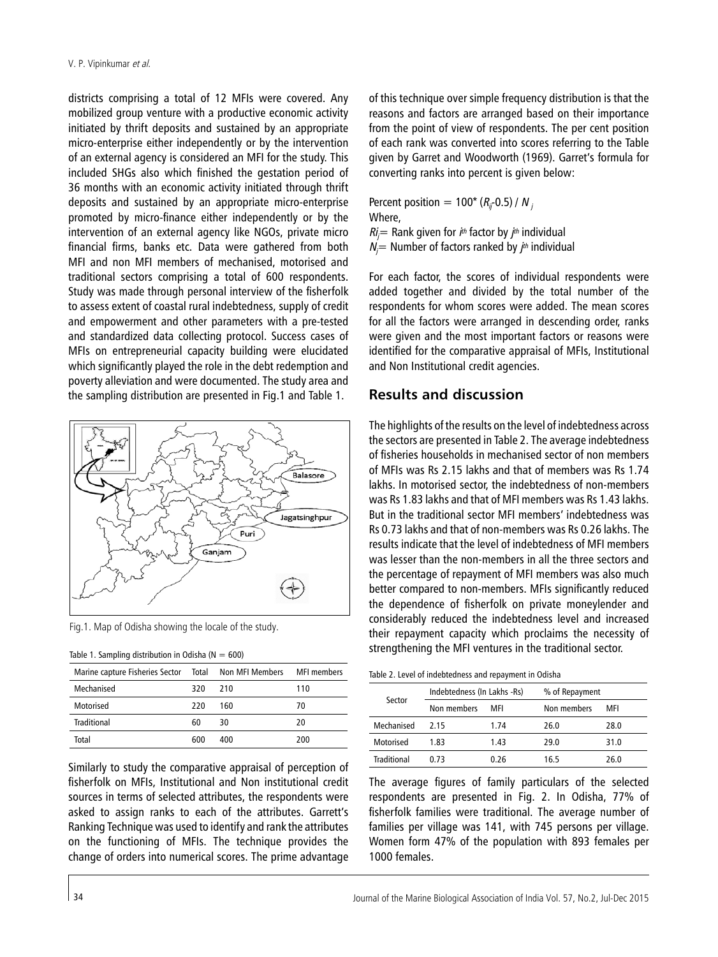districts comprising a total of 12 MFIs were covered. Any mobilized group venture with a productive economic activity initiated by thrift deposits and sustained by an appropriate micro-enterprise either independently or by the intervention of an external agency is considered an MFI for the study. This included SHGs also which finished the gestation period of 36 months with an economic activity initiated through thrift deposits and sustained by an appropriate micro-enterprise promoted by micro-finance either independently or by the intervention of an external agency like NGOs, private micro financial firms, banks etc. Data were gathered from both MFI and non MFI members of mechanised, motorised and traditional sectors comprising a total of 600 respondents. Study was made through personal interview of the fisherfolk to assess extent of coastal rural indebtedness, supply of credit and empowerment and other parameters with a pre-tested and standardized data collecting protocol. Success cases of MFIs on entrepreneurial capacity building were elucidated which significantly played the role in the debt redemption and poverty alleviation and were documented. The study area and the sampling distribution are presented in Fig.1 and Table 1.



Fig.1. Map of Odisha showing the locale of the study.

|  |  | Table 1. Sampling distribution in Odisha ( $N = 600$ ) |  |
|--|--|--------------------------------------------------------|--|
|--|--|--------------------------------------------------------|--|

| Marine capture Fisheries Sector Total Non MFI Members MFI members |      |     |     |
|-------------------------------------------------------------------|------|-----|-----|
| Mechanised                                                        | 320. | 210 | 110 |
| Motorised                                                         | 220  | 160 | 70  |
| Traditional                                                       | 60   | 30  | 20  |
| Total                                                             | 600  | 400 | 200 |

Similarly to study the comparative appraisal of perception of fisherfolk on MFIs, Institutional and Non institutional credit sources in terms of selected attributes, the respondents were asked to assign ranks to each of the attributes. Garrett's Ranking Technique was used to identify and rank the attributes on the functioning of MFIs. The technique provides the change of orders into numerical scores. The prime advantage

of this technique over simple frequency distribution is that the reasons and factors are arranged based on their importance from the point of view of respondents. The per cent position of each rank was converted into scores referring to the Table given by Garret and Woodworth (1969). Garret's formula for converting ranks into percent is given below:

Percent position =  $100*(R_{ij}$ -0.5) / N<sub>j</sub> Where,  $\mathit{Ri}$  = Rank given for  $i^{\text{\tiny th}}$  factor by  $j^{\text{\tiny th}}$  individual  $N_j$ = Number of factors ranked by  $j<sup>th</sup>$  individual

For each factor, the scores of individual respondents were added together and divided by the total number of the respondents for whom scores were added. The mean scores for all the factors were arranged in descending order, ranks were given and the most important factors or reasons were identified for the comparative appraisal of MFIs, Institutional and Non Institutional credit agencies.

## **Results and discussion**

The highlights of the results on the level of indebtedness across the sectors are presented in Table 2. The average indebtedness of fisheries households in mechanised sector of non members of MFIs was Rs 2.15 lakhs and that of members was Rs 1.74 lakhs. In motorised sector, the indebtedness of non-members was Rs 1.83 lakhs and that of MFI members was Rs 1.43 lakhs. But in the traditional sector MFI members' indebtedness was Rs 0.73 lakhs and that of non-members was Rs 0.26 lakhs. The results indicate that the level of indebtedness of MFI members was lesser than the non-members in all the three sectors and the percentage of repayment of MFI members was also much better compared to non-members. MFIs significantly reduced the dependence of fisherfolk on private moneylender and considerably reduced the indebtedness level and increased their repayment capacity which proclaims the necessity of strengthening the MFI ventures in the traditional sector.

Table 2. Level of indebtedness and repayment in Odisha

| Sector      | Indebtedness (In Lakhs -Rs) |      | % of Repayment |      |  |
|-------------|-----------------------------|------|----------------|------|--|
|             | Non members                 | MFI  | Non members    | MFI  |  |
| Mechanised  | 2.15                        | 1.74 | 26.0           | 28.0 |  |
| Motorised   | 1.83                        | 1.43 | 29.0           | 31.0 |  |
| Traditional | በ 73                        | 0.26 | 16.5           | 26.0 |  |

The average figures of family particulars of the selected respondents are presented in Fig. 2. In Odisha, 77% of fisherfolk families were traditional. The average number of families per village was 141, with 745 persons per village. Women form 47% of the population with 893 females per 1000 females.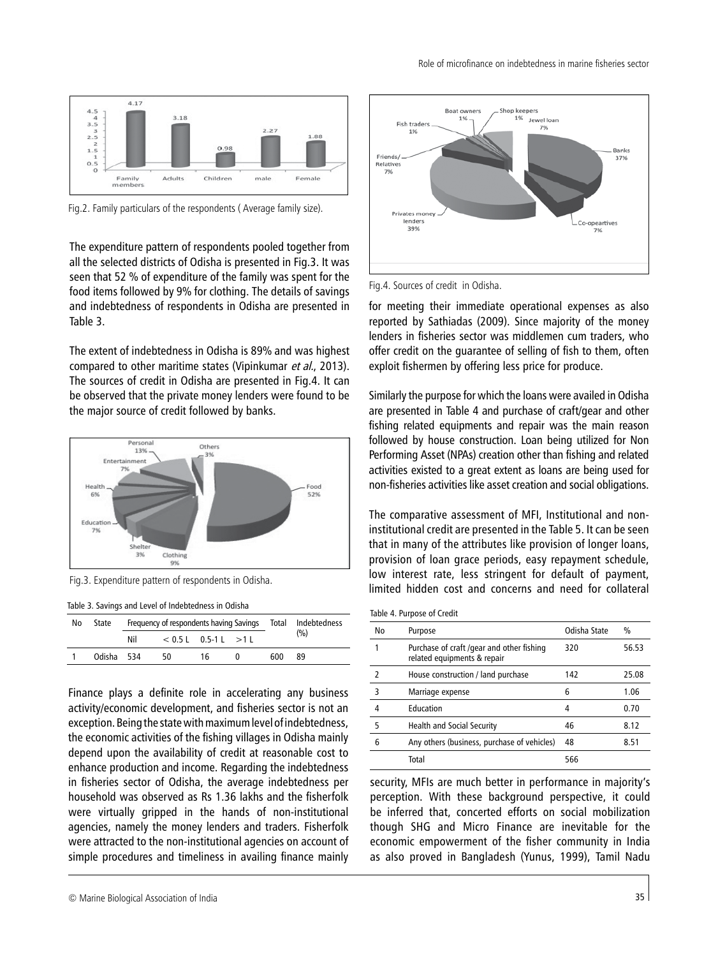

Fig.2. Family particulars of the respondents ( Average family size).

The expenditure pattern of respondents pooled together from all the selected districts of Odisha is presented in Fig.3. It was seen that 52 % of expenditure of the family was spent for the food items followed by 9% for clothing. The details of savings and indebtedness of respondents in Odisha are presented in Table 3.

The extent of indebtedness in Odisha is 89% and was highest compared to other maritime states (Vipinkumar et al., 2013). The sources of credit in Odisha are presented in Fig.4. It can be observed that the private money lenders were found to be the major source of credit followed by banks.



Fig.3. Expenditure pattern of respondents in Odisha.

| Table 3. Savings and Level of Indebtedness in Odisha |  |  |  |  |
|------------------------------------------------------|--|--|--|--|
|------------------------------------------------------|--|--|--|--|

| No | State      | Frequency of respondents having Savings Total Indebtedness |     |                          |          |      |     |
|----|------------|------------------------------------------------------------|-----|--------------------------|----------|------|-----|
|    |            | Nil                                                        |     | $< 0.5$ L 0.5-1 L $>1$ L |          |      | (%) |
|    | Odisha 534 |                                                            | -50 | 16                       | $\Omega$ | 600. | 89  |

Finance plays a definite role in accelerating any business activity/economic development, and fisheries sector is not an exception. Being the state with maximum level of indebtedness, the economic activities of the fishing villages in Odisha mainly depend upon the availability of credit at reasonable cost to enhance production and income. Regarding the indebtedness in fisheries sector of Odisha, the average indebtedness per household was observed as Rs 1.36 lakhs and the fisherfolk were virtually gripped in the hands of non-institutional agencies, namely the money lenders and traders. Fisherfolk were attracted to the non-institutional agencies on account of simple procedures and timeliness in availing finance mainly



Fig.4. Sources of credit in Odisha.

for meeting their immediate operational expenses as also reported by Sathiadas (2009). Since majority of the money lenders in fisheries sector was middlemen cum traders, who offer credit on the guarantee of selling of fish to them, often exploit fishermen by offering less price for produce.

Similarly the purpose for which the loans were availed in Odisha are presented in Table 4 and purchase of craft/gear and other fishing related equipments and repair was the main reason followed by house construction. Loan being utilized for Non Performing Asset (NPAs) creation other than fishing and related activities existed to a great extent as loans are being used for non-fisheries activities like asset creation and social obligations.

The comparative assessment of MFI, Institutional and noninstitutional credit are presented in the Table 5. It can be seen that in many of the attributes like provision of longer loans, provision of loan grace periods, easy repayment schedule, low interest rate, less stringent for default of payment, limited hidden cost and concerns and need for collateral

|  |  |  | Table 4. Purpose of Credit |  |  |
|--|--|--|----------------------------|--|--|
|--|--|--|----------------------------|--|--|

| No | Purpose                                                                   | Odisha State | $\frac{0}{0}$ |
|----|---------------------------------------------------------------------------|--------------|---------------|
|    | Purchase of craft / gear and other fishing<br>related equipments & repair | 320          | 56.53         |
| 7  | House construction / land purchase                                        | 142          | 25.08         |
| 3  | Marriage expense                                                          | 6            | 1.06          |
| 4  | Education                                                                 | 4            | 0.70          |
| 5  | Health and Social Security                                                | 46           | 8.12          |
| 6  | Any others (business, purchase of vehicles)                               | 48           | 8.51          |
|    | Total                                                                     | 566          |               |

security, MFIs are much better in performance in majority's perception. With these background perspective, it could be inferred that, concerted efforts on social mobilization though SHG and Micro Finance are inevitable for the economic empowerment of the fisher community in India as also proved in Bangladesh (Yunus, 1999), Tamil Nadu